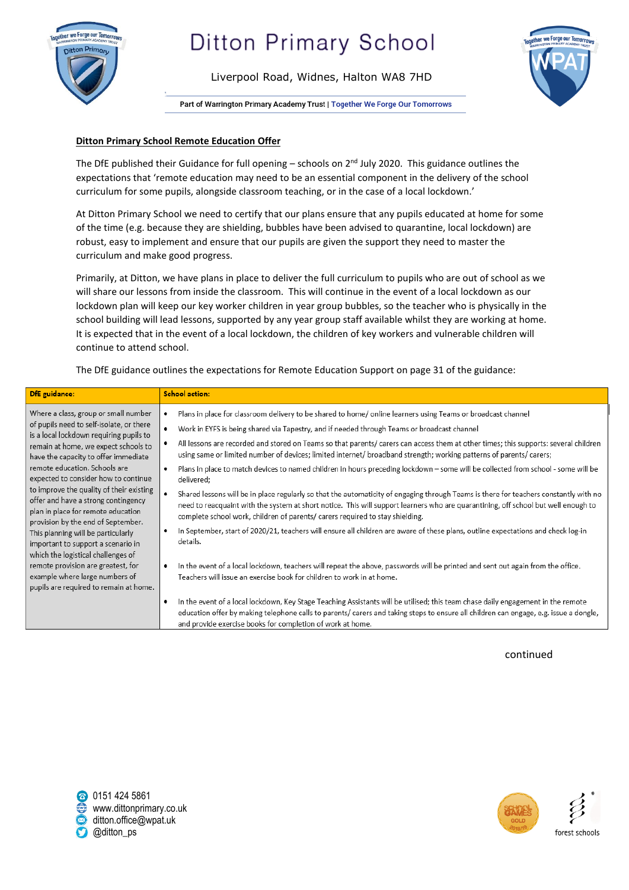

### **Ditton Primary School**

Liverpool Road, Widnes, Halton WA8 7HD



Part of Warrington Primary Academy Trust | Together We Forge Our Tomorrows

### **Ditton Primary School Remote Education Offer**

The DfE published their Guidance for full opening – schools on  $2^{nd}$  July 2020. This guidance outlines the expectations that 'remote education may need to be an essential component in the delivery of the school curriculum for some pupils, alongside classroom teaching, or in the case of a local lockdown.'

At Ditton Primary School we need to certify that our plans ensure that any pupils educated at home for some of the time (e.g. because they are shielding, bubbles have been advised to quarantine, local lockdown) are robust, easy to implement and ensure that our pupils are given the support they need to master the curriculum and make good progress.

Primarily, at Ditton, we have plans in place to deliver the full curriculum to pupils who are out of school as we will share our lessons from inside the classroom. This will continue in the event of a local lockdown as our lockdown plan will keep our key worker children in year group bubbles, so the teacher who is physically in the school building will lead lessons, supported by any year group staff available whilst they are working at home. It is expected that in the event of a local lockdown, the children of key workers and vulnerable children will continue to attend school.

The DfE guidance outlines the expectations for Remote Education Support on page 31 of the guidance:

| <b>DfE</b> guidance:                                                                                                                                                                                                                                                                                                                                                                                                                                                                                                                                                                                                                                                                         | <b>School action:</b>                                                                                                                                                                                                                                                                                                                                                                                                                                                                                                                                                                                                                                                                                                                                                                                                                                                                                                                                                                                                                                                                                                                                                                                                                                                                                                                                                                                                                                                                                                                                                                                                                                                                                |
|----------------------------------------------------------------------------------------------------------------------------------------------------------------------------------------------------------------------------------------------------------------------------------------------------------------------------------------------------------------------------------------------------------------------------------------------------------------------------------------------------------------------------------------------------------------------------------------------------------------------------------------------------------------------------------------------|------------------------------------------------------------------------------------------------------------------------------------------------------------------------------------------------------------------------------------------------------------------------------------------------------------------------------------------------------------------------------------------------------------------------------------------------------------------------------------------------------------------------------------------------------------------------------------------------------------------------------------------------------------------------------------------------------------------------------------------------------------------------------------------------------------------------------------------------------------------------------------------------------------------------------------------------------------------------------------------------------------------------------------------------------------------------------------------------------------------------------------------------------------------------------------------------------------------------------------------------------------------------------------------------------------------------------------------------------------------------------------------------------------------------------------------------------------------------------------------------------------------------------------------------------------------------------------------------------------------------------------------------------------------------------------------------------|
| Where a class, group or small number<br>of pupils need to self-isolate, or there<br>is a local lockdown requiring pupils to<br>remain at home, we expect schools to<br>have the capacity to offer immediate<br>remote education. Schools are<br>expected to consider how to continue<br>to improve the quality of their existing<br>offer and have a strong contingency<br>plan in place for remote education<br>provision by the end of September.<br>This planning will be particularly<br>important to support a scenario in<br>which the logistical challenges of<br>remote provision are greatest, for<br>٠<br>example where large numbers of<br>pupils are required to remain at home. | Plans in place for classroom delivery to be shared to home/ online learners using Teams or broadcast channel<br>Work in EYFS is being shared via Tapestry, and if needed through Teams or broadcast channel<br>All lessons are recorded and stored on Teams so that parents/ carers can access them at other times; this supports: several children<br>using same or limited number of devices; limited internet/ broadband strength; working patterns of parents/ carers;<br>Plans in place to match devices to named children in hours preceding lockdown - some will be collected from school - some will be<br>delivered;<br>Shared lessons will be in place regularly so that the automaticity of engaging through Teams is there for teachers constantly with no<br>need to reacquaint with the system at short notice. This will support learners who are quarantining, off school but well enough to<br>complete school work, children of parents/ carers required to stay shielding.<br>In September, start of 2020/21, teachers will ensure all children are aware of these plans, outline expectations and check log-in<br>details.<br>In the event of a local lockdown, teachers will repeat the above, passwords will be printed and sent out again from the office.<br>Teachers will issue an exercise book for children to work in at home.<br>In the event of a local lockdown, Key Stage Teaching Assistants will be utilised; this team chase daily engagement in the remote<br>education offer by making telephone calls to parents/carers and taking steps to ensure all children can engage, e.g. issue a dongle,<br>and provide exercise books for completion of work at home. |

continued



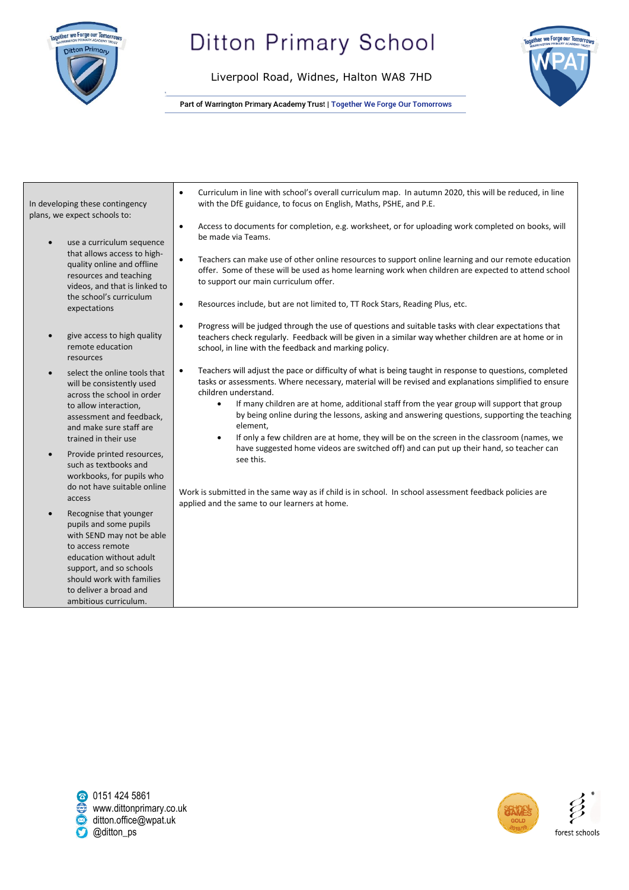

# **Ditton Primary School**

Liverpool Road, Widnes, Halton WA8 7HD



Part of Warrington Primary Academy Trust | Together We Forge Our Tomorrows

| In developing these contingency<br>plans, we expect schools to:                                                                                                                                                                                         | Curriculum in line with school's overall curriculum map. In autumn 2020, this will be reduced, in line<br>$\bullet$<br>with the DfE guidance, to focus on English, Maths, PSHE, and P.E.<br>Access to documents for completion, e.g. worksheet, or for uploading work completed on books, will                                                                                                                                                                                                                                                                                                                                                                                   |
|---------------------------------------------------------------------------------------------------------------------------------------------------------------------------------------------------------------------------------------------------------|----------------------------------------------------------------------------------------------------------------------------------------------------------------------------------------------------------------------------------------------------------------------------------------------------------------------------------------------------------------------------------------------------------------------------------------------------------------------------------------------------------------------------------------------------------------------------------------------------------------------------------------------------------------------------------|
| use a curriculum sequence<br>$\bullet$<br>that allows access to high-<br>quality online and offline<br>resources and teaching<br>videos, and that is linked to<br>the school's curriculum<br>expectations                                               | $\bullet$<br>be made via Teams.<br>Teachers can make use of other online resources to support online learning and our remote education<br>$\bullet$<br>offer. Some of these will be used as home learning work when children are expected to attend school<br>to support our main curriculum offer.<br>Resources include, but are not limited to, TT Rock Stars, Reading Plus, etc.<br>$\bullet$                                                                                                                                                                                                                                                                                 |
| give access to high quality<br>$\bullet$<br>remote education<br>resources                                                                                                                                                                               | Progress will be judged through the use of questions and suitable tasks with clear expectations that<br>$\bullet$<br>teachers check regularly. Feedback will be given in a similar way whether children are at home or in<br>school, in line with the feedback and marking policy.                                                                                                                                                                                                                                                                                                                                                                                               |
| select the online tools that<br>$\bullet$<br>will be consistently used<br>across the school in order<br>to allow interaction,<br>assessment and feedback,<br>and make sure staff are<br>trained in their use<br>Provide printed resources,<br>$\bullet$ | Teachers will adjust the pace or difficulty of what is being taught in response to questions, completed<br>$\bullet$<br>tasks or assessments. Where necessary, material will be revised and explanations simplified to ensure<br>children understand.<br>If many children are at home, additional staff from the year group will support that group<br>$\bullet$<br>by being online during the lessons, asking and answering questions, supporting the teaching<br>element,<br>If only a few children are at home, they will be on the screen in the classroom (names, we<br>have suggested home videos are switched off) and can put up their hand, so teacher can<br>see this. |
| such as textbooks and<br>workbooks, for pupils who<br>do not have suitable online<br>access                                                                                                                                                             | Work is submitted in the same way as if child is in school. In school assessment feedback policies are<br>applied and the same to our learners at home.                                                                                                                                                                                                                                                                                                                                                                                                                                                                                                                          |
| Recognise that younger<br>$\bullet$<br>pupils and some pupils<br>with SEND may not be able<br>to access remote<br>education without adult<br>support, and so schools<br>should work with families                                                       |                                                                                                                                                                                                                                                                                                                                                                                                                                                                                                                                                                                                                                                                                  |
| to deliver a broad and<br>ambitious curriculum.                                                                                                                                                                                                         |                                                                                                                                                                                                                                                                                                                                                                                                                                                                                                                                                                                                                                                                                  |